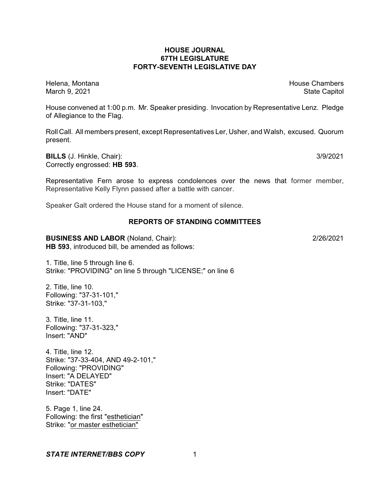# **HOUSE JOURNAL 67TH LEGISLATURE FORTY-SEVENTH LEGISLATIVE DAY**

Helena, Montana **House Chambers** House Chambers **House Chambers** House Chambers **House Chambers** March 9, 2021 **State Capitol** 

House convened at 1:00 p.m. Mr. Speaker presiding. Invocation by Representative Lenz. Pledge of Allegiance to the Flag.

Roll Call. All members present, except Representatives Ler, Usher, and Walsh, excused. Quorum present.

**BILLS** (J. Hinkle, Chair): 3/9/2021 Correctly engrossed: **HB 593**.

Representative Fern arose to express condolences over the news that former member, Representative Kelly Flynn passed after a battle with cancer.

Speaker Galt ordered the House stand for a moment of silence.

### **REPORTS OF STANDING COMMITTEES**

# **BUSINESS AND LABOR** (Noland, Chair): 2/26/2021

**HB 593**, introduced bill, be amended as follows:

1. Title, line 5 through line 6. Strike: "PROVIDING" on line 5 through "LICENSE;" on line 6

2. Title, line 10. Following: "37-31-101," Strike: "37-31-103,"

3. Title, line 11. Following: "37-31-323," Insert: "AND"

4. Title, line 12. Strike: "37-33-404, AND 49-2-101," Following: "PROVIDING" Insert: "A DELAYED" Strike: "DATES" Insert: "DATE"

5. Page 1, line 24. Following: the first "esthetician" Strike: "or master esthetician"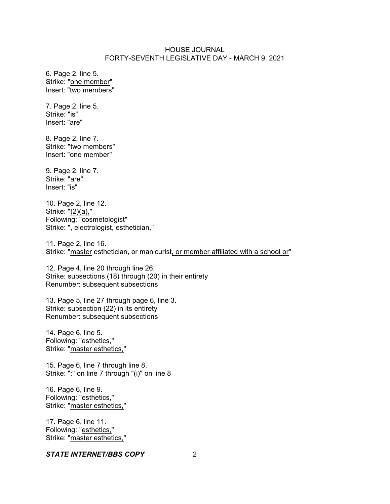6. Page 2, line 5. Strike: "one member" Insert: "two members"

7. Page 2, line 5. Strike: "is" Insert: "are"

8. Page 2, line 7. Strike: "two members" Insert: "one member"

9. Page 2, line 7. Strike: "are" Insert: "is"

10. Page 2, line 12. Strike: "(2)(a)," Following: "cosmetologist" Strike: ", electrologist, esthetician,"

11. Page 2, line 16. Strike: "master esthetician, or manicurist, or member affiliated with a school or"

12. Page 4, line 20 through line 26. Strike: subsections (18) through (20) in their entirety Renumber: subsequent subsections

13. Page 5, line 27 through page 6, line 3. Strike: subsection (22) in its entirety Renumber: subsequent subsections

14. Page 6, line 5. Following: "esthetics," Strike: "master esthetics,"

15. Page 6, line 7 through line 8. Strike: ":" on line 7 through "(i)" on line 8

16. Page 6, line 9. Following: "esthetics," Strike: "master esthetics,"

17. Page 6, line 11. Following: "esthetics," Strike: "master esthetics,"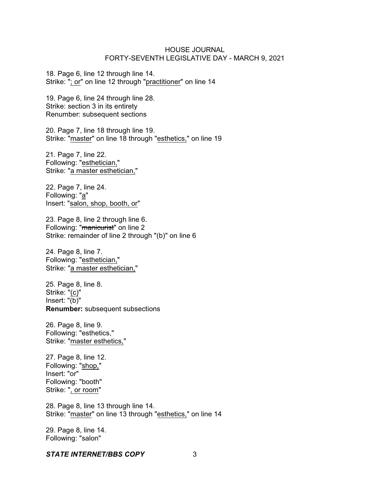18. Page 6, line 12 through line 14. Strike: "; or" on line 12 through "practitioner" on line 14

19. Page 6, line 24 through line 28. Strike: section 3 in its entirety Renumber: subsequent sections

20. Page 7, line 18 through line 19. Strike: "master" on line 18 through "esthetics," on line 19

21. Page 7, line 22. Following: "esthetician," Strike: "a master esthetician,"

22. Page 7, line 24. Following: "a" Insert: "salon, shop, booth, or"

23. Page 8, line 2 through line 6. Following: "manicurist" on line 2 Strike: remainder of line 2 through "(b)" on line 6

24. Page 8, line 7. Following: "esthetician," Strike: "a master esthetician,"

25. Page 8, line 8. Strike: "(c)" Insert: "(b)" **Renumber:** subsequent subsections

26. Page 8, line 9. Following: "esthetics," Strike: "master esthetics,"

27. Page 8, line 12. Following: "shop," Insert: "or" Following: "booth" Strike: ", or room"

28. Page 8, line 13 through line 14. Strike: "master" on line 13 through "esthetics," on line 14

29. Page 8, line 14. Following: "salon"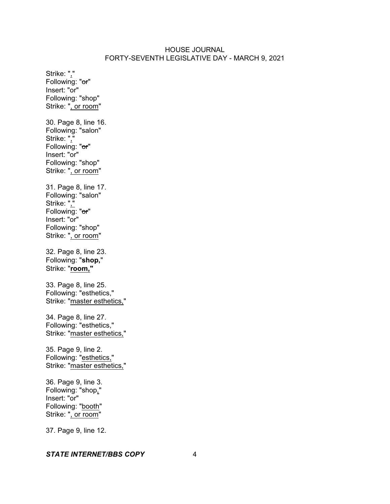Strike: "," Following: "or" Insert: "or" Following: "shop" Strike: ", or room" 30. Page 8, line 16. Following: "salon" Strike: "," Following: "or" Insert: "or" Following: "shop" Strike: ", or room" 31. Page 8, line 17. Following: "salon" Strike: "," Following: "or" Insert: "or" Following: "shop" Strike: ", or room" 32. Page 8, line 23. Following: "**shop,**" Strike: "**room,"** 33. Page 8, line 25. Following: "esthetics," Strike: "master esthetics," 34. Page 8, line 27. Following: "esthetics," Strike: "master esthetics," 35. Page 9, line 2. Following: "esthetics," Strike: "master esthetics," 36. Page 9, line 3. Following: "shop," Insert: "or" Following: "booth" Strike: ", or room"

#### *STATE INTERNET/BBS COPY* 4

37. Page 9, line 12.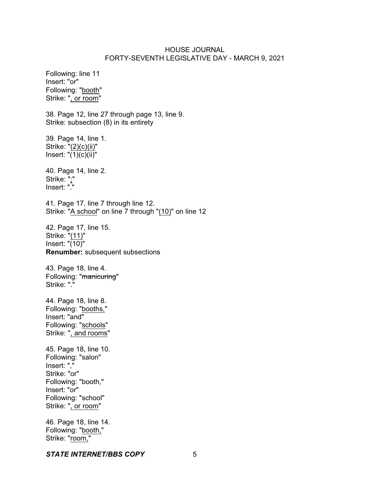Following: line 11 Insert: "or" Following: "booth" Strike: ", or room"

38. Page 12, line 27 through page 13, line 9. Strike: subsection (8) in its entirety

39. Page 14, line 1. Strike: "(2)(c)(ii)" Insert: "(1)(c)(ii)"

40. Page 14, line 2. Strike: ";" Insert: "."

41. Page 17, line 7 through line 12. Strike: "A school" on line 7 through "(10)" on line 12

42. Page 17, line 15. Strike: "(11)" Insert: "(10)" **Renumber:** subsequent subsections

43. Page 18, line 4. Following: "manicuring" Strike: "."

44. Page 18, line 8. Following: "booths," Insert: "and" Following: "schools" Strike: ", and rooms"

45. Page 18, line 10. Following: "salon" Insert: "," Strike: "or" Following: "booth," Insert: "or" Following: "school" Strike: ", or room"

46. Page 18, line 14. Following: "booth," Strike: "room,"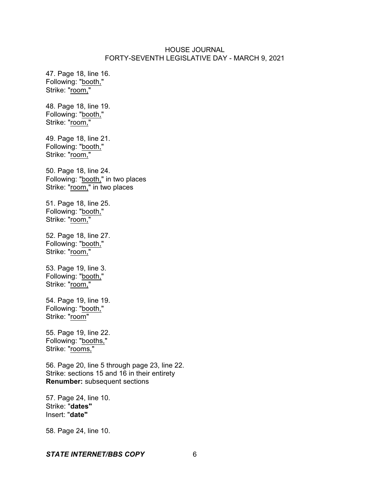47. Page 18, line 16. Following: "booth," Strike: "room,"

48. Page 18, line 19. Following: "booth," Strike: "room,"

49. Page 18, line 21. Following: "booth," Strike: "room,"

50. Page 18, line 24. Following: "booth," in two places Strike: "room," in two places

51. Page 18, line 25. Following: "booth," Strike: "room,"

52. Page 18, line 27. Following: "booth," Strike: "room,"

53. Page 19, line 3. Following: "booth," Strike: "room,"

54. Page 19, line 19. Following: "booth," Strike: "room"

55. Page 19, line 22. Following: "booths," Strike: "rooms,"

56. Page 20, line 5 through page 23, line 22. Strike: sections 15 and 16 in their entirety **Renumber:** subsequent sections

57. Page 24, line 10. Strike: "**dates"** Insert: "**date"**

58. Page 24, line 10.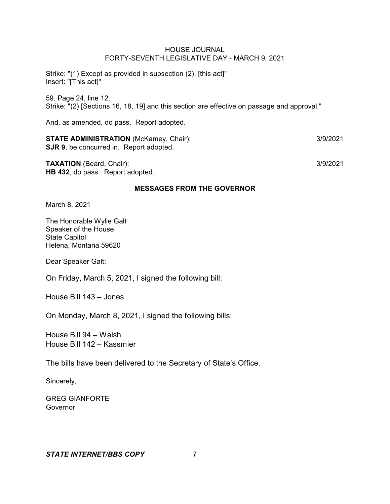Strike: "(1) Except as provided in subsection (2), [this act]" Insert: "[This act]"

59. Page 24, line 12. Strike: "(2) [Sections 16, 18, 19] and this section are effective on passage and approval."

And, as amended, do pass. Report adopted.

**STATE ADMINISTRATION** (McKamey, Chair): 3/9/2021 **SJR 9**, be concurred in. Report adopted.

**TAXATION** (Beard, Chair): 3/9/2021 **HB 432**, do pass. Report adopted.

### **MESSAGES FROM THE GOVERNOR**

March 8, 2021

The Honorable Wylie Galt Speaker of the House State Capitol Helena, Montana 59620

Dear Speaker Galt:

On Friday, March 5, 2021, I signed the following bill:

House Bill 143 – Jones

On Monday, March 8, 2021, I signed the following bills:

House Bill 94 – Walsh House Bill 142 – Kassmier

The bills have been delivered to the Secretary of State's Office.

Sincerely,

GREG GIANFORTE **Governor**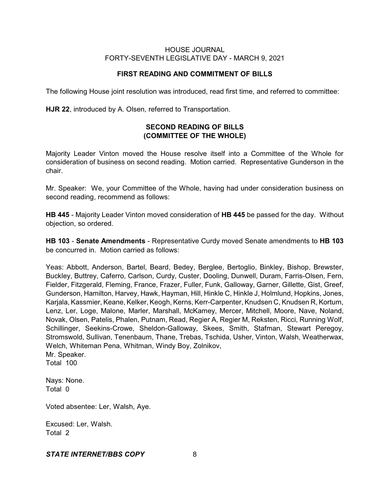# **FIRST READING AND COMMITMENT OF BILLS**

The following House joint resolution was introduced, read first time, and referred to committee:

**HJR 22**, introduced by A. Olsen, referred to Transportation.

# **SECOND READING OF BILLS (COMMITTEE OF THE WHOLE)**

Majority Leader Vinton moved the House resolve itself into a Committee of the Whole for consideration of business on second reading. Motion carried. Representative Gunderson in the chair.

Mr. Speaker: We, your Committee of the Whole, having had under consideration business on second reading, recommend as follows:

**HB 445** - Majority Leader Vinton moved consideration of **HB 445** be passed for the day. Without objection, so ordered.

**HB 103** - **Senate Amendments** - Representative Curdy moved Senate amendments to **HB 103** be concurred in. Motion carried as follows:

Yeas: Abbott, Anderson, Bartel, Beard, Bedey, Berglee, Bertoglio, Binkley, Bishop, Brewster, Buckley, Buttrey, Caferro, Carlson, Curdy, Custer, Dooling, Dunwell, Duram, Farris-Olsen, Fern, Fielder, Fitzgerald, Fleming, France, Frazer, Fuller, Funk, Galloway, Garner, Gillette, Gist, Greef, Gunderson, Hamilton, Harvey, Hawk, Hayman, Hill, Hinkle C, Hinkle J, Holmlund, Hopkins, Jones, Karjala, Kassmier, Keane, Kelker, Keogh, Kerns, Kerr-Carpenter, Knudsen C, Knudsen R, Kortum, Lenz, Ler, Loge, Malone, Marler, Marshall, McKamey, Mercer, Mitchell, Moore, Nave, Noland, Novak, Olsen, Patelis, Phalen, Putnam, Read, Regier A, Regier M, Reksten, Ricci, Running Wolf, Schillinger, Seekins-Crowe, Sheldon-Galloway, Skees, Smith, Stafman, Stewart Peregoy, Stromswold, Sullivan, Tenenbaum, Thane, Trebas, Tschida, Usher, Vinton, Walsh, Weatherwax, Welch, Whiteman Pena, Whitman, Windy Boy, Zolnikov,

Mr. Speaker. Total 100

Nays: None. Total 0

Voted absentee: Ler, Walsh, Aye.

Excused: Ler, Walsh. Total 2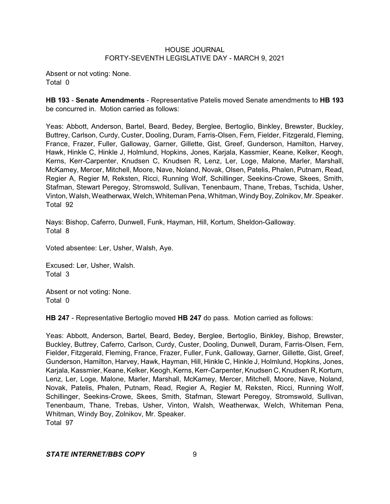Absent or not voting: None. Total 0

**HB 193** - **Senate Amendments** - Representative Patelis moved Senate amendments to **HB 193** be concurred in. Motion carried as follows:

Yeas: Abbott, Anderson, Bartel, Beard, Bedey, Berglee, Bertoglio, Binkley, Brewster, Buckley, Buttrey, Carlson, Curdy, Custer, Dooling, Duram, Farris-Olsen, Fern, Fielder, Fitzgerald, Fleming, France, Frazer, Fuller, Galloway, Garner, Gillette, Gist, Greef, Gunderson, Hamilton, Harvey, Hawk, Hinkle C, Hinkle J, Holmlund, Hopkins, Jones, Karjala, Kassmier, Keane, Kelker, Keogh, Kerns, Kerr-Carpenter, Knudsen C, Knudsen R, Lenz, Ler, Loge, Malone, Marler, Marshall, McKamey, Mercer, Mitchell, Moore, Nave, Noland, Novak, Olsen, Patelis, Phalen, Putnam, Read, Regier A, Regier M, Reksten, Ricci, Running Wolf, Schillinger, Seekins-Crowe, Skees, Smith, Stafman, Stewart Peregoy, Stromswold, Sullivan, Tenenbaum, Thane, Trebas, Tschida, Usher, Vinton, Walsh, Weatherwax, Welch, Whiteman Pena, Whitman, Windy Boy, Zolnikov, Mr. Speaker. Total 92

Nays: Bishop, Caferro, Dunwell, Funk, Hayman, Hill, Kortum, Sheldon-Galloway. Total 8

Voted absentee: Ler, Usher, Walsh, Aye.

Excused: Ler, Usher, Walsh. Total 3

Absent or not voting: None. Total 0

**HB 247** - Representative Bertoglio moved **HB 247** do pass. Motion carried as follows:

Yeas: Abbott, Anderson, Bartel, Beard, Bedey, Berglee, Bertoglio, Binkley, Bishop, Brewster, Buckley, Buttrey, Caferro, Carlson, Curdy, Custer, Dooling, Dunwell, Duram, Farris-Olsen, Fern, Fielder, Fitzgerald, Fleming, France, Frazer, Fuller, Funk, Galloway, Garner, Gillette, Gist, Greef, Gunderson, Hamilton, Harvey, Hawk, Hayman, Hill, Hinkle C, Hinkle J, Holmlund, Hopkins, Jones, Karjala, Kassmier, Keane, Kelker, Keogh, Kerns, Kerr-Carpenter, Knudsen C, Knudsen R, Kortum, Lenz, Ler, Loge, Malone, Marler, Marshall, McKamey, Mercer, Mitchell, Moore, Nave, Noland, Novak, Patelis, Phalen, Putnam, Read, Regier A, Regier M, Reksten, Ricci, Running Wolf, Schillinger, Seekins-Crowe, Skees, Smith, Stafman, Stewart Peregoy, Stromswold, Sullivan, Tenenbaum, Thane, Trebas, Usher, Vinton, Walsh, Weatherwax, Welch, Whiteman Pena, Whitman, Windy Boy, Zolnikov, Mr. Speaker. Total 97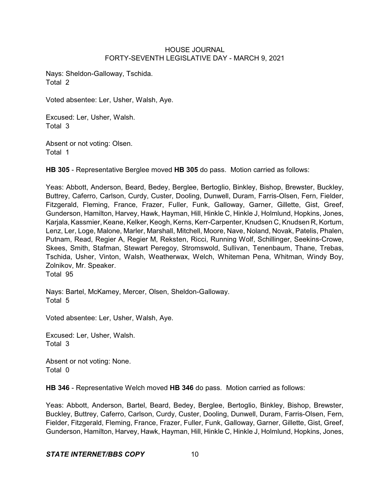Nays: Sheldon-Galloway, Tschida. Total 2

Voted absentee: Ler, Usher, Walsh, Aye.

Excused: Ler, Usher, Walsh. Total 3

Absent or not voting: Olsen. Total 1

**HB 305** - Representative Berglee moved **HB 305** do pass. Motion carried as follows:

Yeas: Abbott, Anderson, Beard, Bedey, Berglee, Bertoglio, Binkley, Bishop, Brewster, Buckley, Buttrey, Caferro, Carlson, Curdy, Custer, Dooling, Dunwell, Duram, Farris-Olsen, Fern, Fielder, Fitzgerald, Fleming, France, Frazer, Fuller, Funk, Galloway, Garner, Gillette, Gist, Greef, Gunderson, Hamilton, Harvey, Hawk, Hayman, Hill, Hinkle C, Hinkle J, Holmlund, Hopkins, Jones, Karjala, Kassmier, Keane, Kelker, Keogh, Kerns, Kerr-Carpenter, Knudsen C, Knudsen R, Kortum, Lenz, Ler, Loge, Malone, Marler, Marshall, Mitchell, Moore, Nave, Noland, Novak, Patelis, Phalen, Putnam, Read, Regier A, Regier M, Reksten, Ricci, Running Wolf, Schillinger, Seekins-Crowe, Skees, Smith, Stafman, Stewart Peregoy, Stromswold, Sullivan, Tenenbaum, Thane, Trebas, Tschida, Usher, Vinton, Walsh, Weatherwax, Welch, Whiteman Pena, Whitman, Windy Boy, Zolnikov, Mr. Speaker. Total 95

Nays: Bartel, McKamey, Mercer, Olsen, Sheldon-Galloway. Total 5

Voted absentee: Ler, Usher, Walsh, Aye.

Excused: Ler, Usher, Walsh. Total 3

Absent or not voting: None. Total 0

**HB 346** - Representative Welch moved **HB 346** do pass. Motion carried as follows:

Yeas: Abbott, Anderson, Bartel, Beard, Bedey, Berglee, Bertoglio, Binkley, Bishop, Brewster, Buckley, Buttrey, Caferro, Carlson, Curdy, Custer, Dooling, Dunwell, Duram, Farris-Olsen, Fern, Fielder, Fitzgerald, Fleming, France, Frazer, Fuller, Funk, Galloway, Garner, Gillette, Gist, Greef, Gunderson, Hamilton, Harvey, Hawk, Hayman, Hill, Hinkle C, Hinkle J, Holmlund, Hopkins, Jones,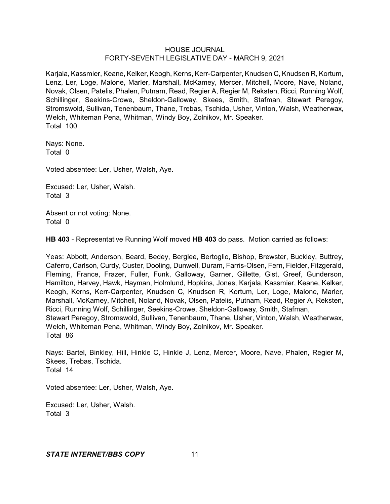Karjala, Kassmier, Keane, Kelker, Keogh, Kerns, Kerr-Carpenter, Knudsen C, Knudsen R, Kortum, Lenz, Ler, Loge, Malone, Marler, Marshall, McKamey, Mercer, Mitchell, Moore, Nave, Noland, Novak, Olsen, Patelis, Phalen, Putnam, Read, Regier A, Regier M, Reksten, Ricci, Running Wolf, Schillinger, Seekins-Crowe, Sheldon-Galloway, Skees, Smith, Stafman, Stewart Peregoy, Stromswold, Sullivan, Tenenbaum, Thane, Trebas, Tschida, Usher, Vinton, Walsh, Weatherwax, Welch, Whiteman Pena, Whitman, Windy Boy, Zolnikov, Mr. Speaker. Total 100

Nays: None. Total 0

Voted absentee: Ler, Usher, Walsh, Aye.

Excused: Ler, Usher, Walsh. Total 3

Absent or not voting: None. Total 0

**HB 403** - Representative Running Wolf moved **HB 403** do pass. Motion carried as follows:

Yeas: Abbott, Anderson, Beard, Bedey, Berglee, Bertoglio, Bishop, Brewster, Buckley, Buttrey, Caferro, Carlson, Curdy, Custer, Dooling, Dunwell, Duram, Farris-Olsen, Fern, Fielder, Fitzgerald, Fleming, France, Frazer, Fuller, Funk, Galloway, Garner, Gillette, Gist, Greef, Gunderson, Hamilton, Harvey, Hawk, Hayman, Holmlund, Hopkins, Jones, Karjala, Kassmier, Keane, Kelker, Keogh, Kerns, Kerr-Carpenter, Knudsen C, Knudsen R, Kortum, Ler, Loge, Malone, Marler, Marshall, McKamey, Mitchell, Noland, Novak, Olsen, Patelis, Putnam, Read, Regier A, Reksten, Ricci, Running Wolf, Schillinger, Seekins-Crowe, Sheldon-Galloway, Smith, Stafman, Stewart Peregoy, Stromswold, Sullivan, Tenenbaum, Thane, Usher, Vinton, Walsh, Weatherwax, Welch, Whiteman Pena, Whitman, Windy Boy, Zolnikov, Mr. Speaker. Total 86

Nays: Bartel, Binkley, Hill, Hinkle C, Hinkle J, Lenz, Mercer, Moore, Nave, Phalen, Regier M, Skees, Trebas, Tschida. Total 14

Voted absentee: Ler, Usher, Walsh, Aye.

Excused: Ler, Usher, Walsh. Total 3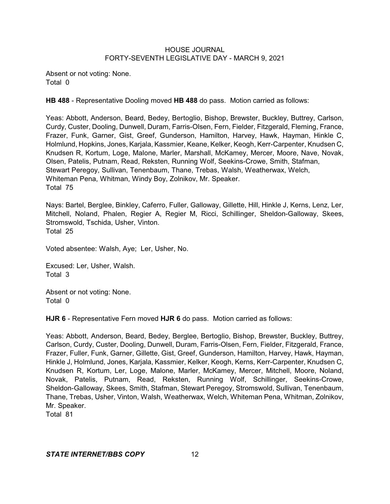Absent or not voting: None. Total 0

**HB 488** - Representative Dooling moved **HB 488** do pass. Motion carried as follows:

Yeas: Abbott, Anderson, Beard, Bedey, Bertoglio, Bishop, Brewster, Buckley, Buttrey, Carlson, Curdy, Custer, Dooling, Dunwell, Duram, Farris-Olsen, Fern, Fielder, Fitzgerald, Fleming, France, Frazer, Funk, Garner, Gist, Greef, Gunderson, Hamilton, Harvey, Hawk, Hayman, Hinkle C, Holmlund, Hopkins, Jones, Karjala, Kassmier, Keane, Kelker, Keogh, Kerr-Carpenter, Knudsen C, Knudsen R, Kortum, Loge, Malone, Marler, Marshall, McKamey, Mercer, Moore, Nave, Novak, Olsen, Patelis, Putnam, Read, Reksten, Running Wolf, Seekins-Crowe, Smith, Stafman, Stewart Peregoy, Sullivan, Tenenbaum, Thane, Trebas, Walsh, Weatherwax, Welch, Whiteman Pena, Whitman, Windy Boy, Zolnikov, Mr. Speaker. Total 75

Nays: Bartel, Berglee, Binkley, Caferro, Fuller, Galloway, Gillette, Hill, Hinkle J, Kerns, Lenz, Ler, Mitchell, Noland, Phalen, Regier A, Regier M, Ricci, Schillinger, Sheldon-Galloway, Skees, Stromswold, Tschida, Usher, Vinton. Total 25

Voted absentee: Walsh, Aye; Ler, Usher, No.

Excused: Ler, Usher, Walsh. Total 3

Absent or not voting: None. Total 0

**HJR 6** - Representative Fern moved **HJR 6** do pass. Motion carried as follows:

Yeas: Abbott, Anderson, Beard, Bedey, Berglee, Bertoglio, Bishop, Brewster, Buckley, Buttrey, Carlson, Curdy, Custer, Dooling, Dunwell, Duram, Farris-Olsen, Fern, Fielder, Fitzgerald, France, Frazer, Fuller, Funk, Garner, Gillette, Gist, Greef, Gunderson, Hamilton, Harvey, Hawk, Hayman, Hinkle J, Holmlund, Jones, Karjala, Kassmier, Kelker, Keogh, Kerns, Kerr-Carpenter, Knudsen C, Knudsen R, Kortum, Ler, Loge, Malone, Marler, McKamey, Mercer, Mitchell, Moore, Noland, Novak, Patelis, Putnam, Read, Reksten, Running Wolf, Schillinger, Seekins-Crowe, Sheldon-Galloway, Skees, Smith, Stafman, Stewart Peregoy, Stromswold, Sullivan, Tenenbaum, Thane, Trebas, Usher, Vinton, Walsh, Weatherwax, Welch, Whiteman Pena, Whitman, Zolnikov, Mr. Speaker.

Total 81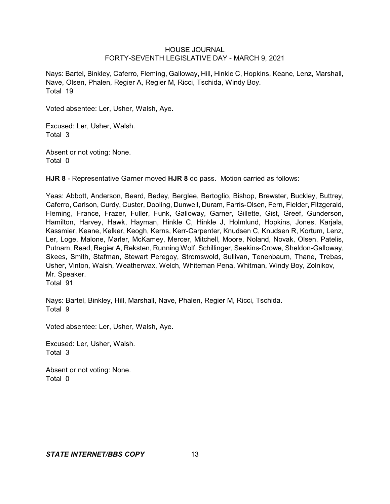Nays: Bartel, Binkley, Caferro, Fleming, Galloway, Hill, Hinkle C, Hopkins, Keane, Lenz, Marshall, Nave, Olsen, Phalen, Regier A, Regier M, Ricci, Tschida, Windy Boy. Total 19

Voted absentee: Ler, Usher, Walsh, Aye.

Excused: Ler, Usher, Walsh. Total 3

Absent or not voting: None. Total 0

**HJR 8** - Representative Garner moved **HJR 8** do pass. Motion carried as follows:

Yeas: Abbott, Anderson, Beard, Bedey, Berglee, Bertoglio, Bishop, Brewster, Buckley, Buttrey, Caferro, Carlson, Curdy, Custer, Dooling, Dunwell, Duram, Farris-Olsen, Fern, Fielder, Fitzgerald, Fleming, France, Frazer, Fuller, Funk, Galloway, Garner, Gillette, Gist, Greef, Gunderson, Hamilton, Harvey, Hawk, Hayman, Hinkle C, Hinkle J, Holmlund, Hopkins, Jones, Karjala, Kassmier, Keane, Kelker, Keogh, Kerns, Kerr-Carpenter, Knudsen C, Knudsen R, Kortum, Lenz, Ler, Loge, Malone, Marler, McKamey, Mercer, Mitchell, Moore, Noland, Novak, Olsen, Patelis, Putnam, Read, Regier A, Reksten, Running Wolf, Schillinger, Seekins-Crowe, Sheldon-Galloway, Skees, Smith, Stafman, Stewart Peregoy, Stromswold, Sullivan, Tenenbaum, Thane, Trebas, Usher, Vinton, Walsh, Weatherwax, Welch, Whiteman Pena, Whitman, Windy Boy, Zolnikov, Mr. Speaker. Total 91

Nays: Bartel, Binkley, Hill, Marshall, Nave, Phalen, Regier M, Ricci, Tschida. Total 9

Voted absentee: Ler, Usher, Walsh, Aye.

Excused: Ler, Usher, Walsh. Total 3

Absent or not voting: None. Total 0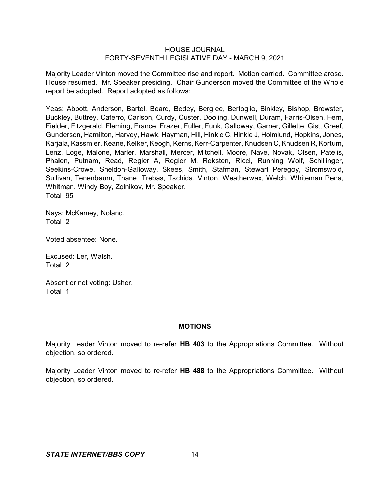Majority Leader Vinton moved the Committee rise and report. Motion carried. Committee arose. House resumed. Mr. Speaker presiding. Chair Gunderson moved the Committee of the Whole report be adopted. Report adopted as follows:

Yeas: Abbott, Anderson, Bartel, Beard, Bedey, Berglee, Bertoglio, Binkley, Bishop, Brewster, Buckley, Buttrey, Caferro, Carlson, Curdy, Custer, Dooling, Dunwell, Duram, Farris-Olsen, Fern, Fielder, Fitzgerald, Fleming, France, Frazer, Fuller, Funk, Galloway, Garner, Gillette, Gist, Greef, Gunderson, Hamilton, Harvey, Hawk, Hayman, Hill, Hinkle C, Hinkle J, Holmlund, Hopkins, Jones, Karjala, Kassmier, Keane, Kelker, Keogh, Kerns, Kerr-Carpenter, Knudsen C, Knudsen R, Kortum, Lenz, Loge, Malone, Marler, Marshall, Mercer, Mitchell, Moore, Nave, Novak, Olsen, Patelis, Phalen, Putnam, Read, Regier A, Regier M, Reksten, Ricci, Running Wolf, Schillinger, Seekins-Crowe, Sheldon-Galloway, Skees, Smith, Stafman, Stewart Peregoy, Stromswold, Sullivan, Tenenbaum, Thane, Trebas, Tschida, Vinton, Weatherwax, Welch, Whiteman Pena, Whitman, Windy Boy, Zolnikov, Mr. Speaker. Total 95

Nays: McKamey, Noland. Total 2

Voted absentee: None.

Excused: Ler, Walsh. Total 2

Absent or not voting: Usher. Total 1

## **MOTIONS**

Majority Leader Vinton moved to re-refer **HB 403** to the Appropriations Committee. Without objection, so ordered.

Majority Leader Vinton moved to re-refer **HB 488** to the Appropriations Committee. Without objection, so ordered.